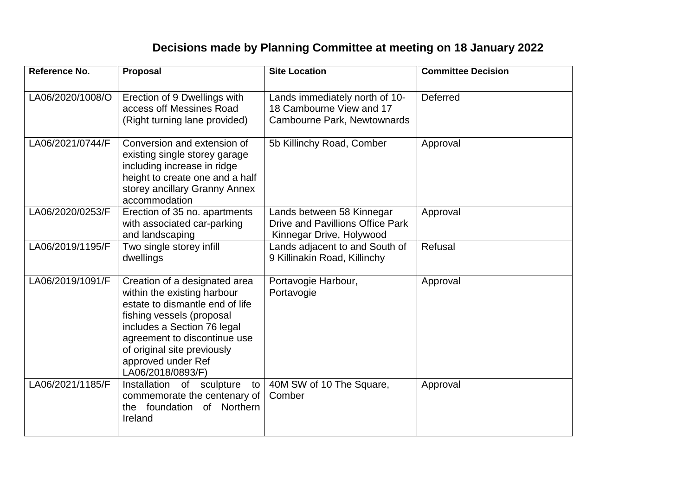## **Decisions made by Planning Committee at meeting on 18 January 2022**

| Reference No.    | <b>Proposal</b>                                                                                                                                                                                                                                                       | <b>Site Location</b>                                                                             | <b>Committee Decision</b> |
|------------------|-----------------------------------------------------------------------------------------------------------------------------------------------------------------------------------------------------------------------------------------------------------------------|--------------------------------------------------------------------------------------------------|---------------------------|
| LA06/2020/1008/O | Erection of 9 Dwellings with<br>access off Messines Road<br>(Right turning lane provided)                                                                                                                                                                             | Lands immediately north of 10-<br>18 Cambourne View and 17<br>Cambourne Park, Newtownards        | Deferred                  |
| LA06/2021/0744/F | Conversion and extension of<br>existing single storey garage<br>including increase in ridge<br>height to create one and a half<br>storey ancillary Granny Annex<br>accommodation                                                                                      | 5b Killinchy Road, Comber                                                                        | Approval                  |
| LA06/2020/0253/F | Erection of 35 no. apartments<br>with associated car-parking<br>and landscaping                                                                                                                                                                                       | Lands between 58 Kinnegar<br><b>Drive and Pavillions Office Park</b><br>Kinnegar Drive, Holywood | Approval                  |
| LA06/2019/1195/F | Two single storey infill<br>dwellings                                                                                                                                                                                                                                 | Lands adjacent to and South of<br>9 Killinakin Road, Killinchy                                   | Refusal                   |
| LA06/2019/1091/F | Creation of a designated area<br>within the existing harbour<br>estate to dismantle end of life<br>fishing vessels (proposal<br>includes a Section 76 legal<br>agreement to discontinue use<br>of original site previously<br>approved under Ref<br>LA06/2018/0893/F) | Portavogie Harbour,<br>Portavogie                                                                | Approval                  |
| LA06/2021/1185/F | Installation of<br>sculpture<br>to<br>commemorate the centenary of<br>the foundation of Northern<br>Ireland                                                                                                                                                           | 40M SW of 10 The Square,<br>Comber                                                               | Approval                  |